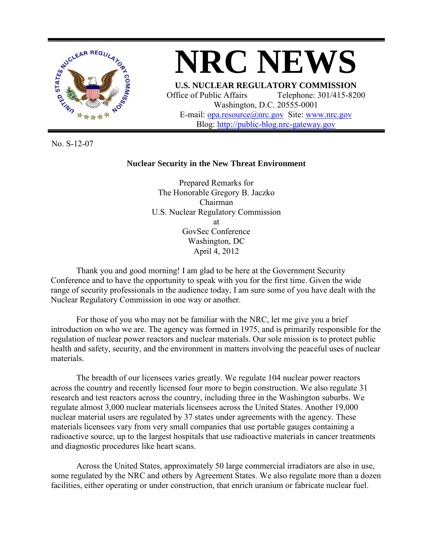



Washington, D.C. 20555-0001 E-mail: [opa.resource@nrc.gov](mailto:opa.resource@nrc.gov) Site: [www.nrc.gov](http://www.nrc.gov/) Blog: [http://public-blog.nrc-gateway.gov](http://public-blog.nrc-gateway.gov/)

No. S-12-07

## **Nuclear Security in the New Threat Environment**

Prepared Remarks for The Honorable Gregory B. Jaczko Chairman U.S. Nuclear Regulatory Commission at GovSec Conference Washington, DC April 4, 2012

Thank you and good morning! I am glad to be here at the Government Security Conference and to have the opportunity to speak with you for the first time. Given the wide range of security professionals in the audience today, I am sure some of you have dealt with the Nuclear Regulatory Commission in one way or another.

For those of you who may not be familiar with the NRC, let me give you a brief introduction on who we are. The agency was formed in 1975, and is primarily responsible for the regulation of nuclear power reactors and nuclear materials. Our sole mission is to protect public health and safety, security, and the environment in matters involving the peaceful uses of nuclear materials.

The breadth of our licensees varies greatly. We regulate 104 nuclear power reactors across the country and recently licensed four more to begin construction. We also regulate 31 research and test reactors across the country, including three in the Washington suburbs. We regulate almost 3,000 nuclear materials licensees across the United States. Another 19,000 nuclear material users are regulated by 37 states under agreements with the agency. These materials licensees vary from very small companies that use portable gauges containing a radioactive source, up to the largest hospitals that use radioactive materials in cancer treatments and diagnostic procedures like heart scans.

Across the United States, approximately 50 large commercial irradiators are also in use, some regulated by the NRC and others by Agreement States. We also regulate more than a dozen facilities, either operating or under construction, that enrich uranium or fabricate nuclear fuel.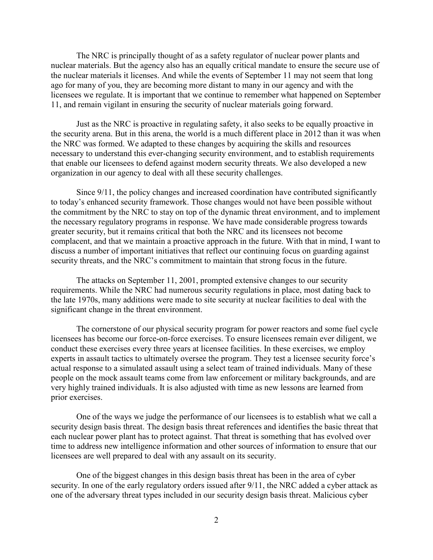The NRC is principally thought of as a safety regulator of nuclear power plants and nuclear materials. But the agency also has an equally critical mandate to ensure the secure use of the nuclear materials it licenses. And while the events of September 11 may not seem that long ago for many of you, they are becoming more distant to many in our agency and with the licensees we regulate. It is important that we continue to remember what happened on September 11, and remain vigilant in ensuring the security of nuclear materials going forward.

 Just as the NRC is proactive in regulating safety, it also seeks to be equally proactive in the security arena. But in this arena, the world is a much different place in 2012 than it was when the NRC was formed. We adapted to these changes by acquiring the skills and resources necessary to understand this ever-changing security environment, and to establish requirements that enable our licensees to defend against modern security threats. We also developed a new organization in our agency to deal with all these security challenges.

Since 9/11, the policy changes and increased coordination have contributed significantly to today's enhanced security framework. Those changes would not have been possible without the commitment by the NRC to stay on top of the dynamic threat environment, and to implement the necessary regulatory programs in response. We have made considerable progress towards greater security, but it remains critical that both the NRC and its licensees not become complacent, and that we maintain a proactive approach in the future. With that in mind, I want to discuss a number of important initiatives that reflect our continuing focus on guarding against security threats, and the NRC's commitment to maintain that strong focus in the future.

The attacks on September 11, 2001, prompted extensive changes to our security requirements. While the NRC had numerous security regulations in place, most dating back to the late 1970s, many additions were made to site security at nuclear facilities to deal with the significant change in the threat environment.

The cornerstone of our physical security program for power reactors and some fuel cycle licensees has become our force-on-force exercises. To ensure licensees remain ever diligent, we conduct these exercises every three years at licensee facilities. In these exercises, we employ experts in assault tactics to ultimately oversee the program. They test a licensee security force's actual response to a simulated assault using a select team of trained individuals. Many of these people on the mock assault teams come from law enforcement or military backgrounds, and are very highly trained individuals. It is also adjusted with time as new lessons are learned from prior exercises.

One of the ways we judge the performance of our licensees is to establish what we call a security design basis threat. The design basis threat references and identifies the basic threat that each nuclear power plant has to protect against. That threat is something that has evolved over time to address new intelligence information and other sources of information to ensure that our licensees are well prepared to deal with any assault on its security.

One of the biggest changes in this design basis threat has been in the area of cyber security. In one of the early regulatory orders issued after 9/11, the NRC added a cyber attack as one of the adversary threat types included in our security design basis threat. Malicious cyber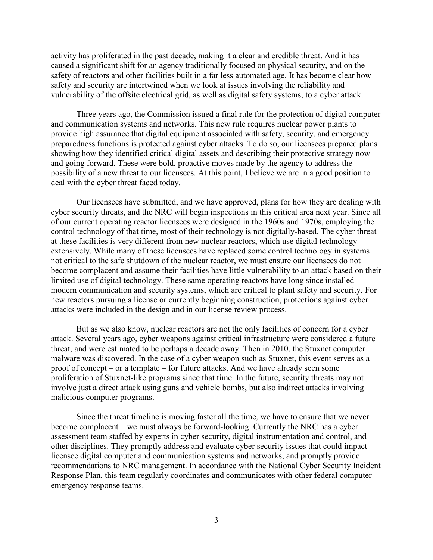activity has proliferated in the past decade, making it a clear and credible threat. And it has caused a significant shift for an agency traditionally focused on physical security, and on the safety of reactors and other facilities built in a far less automated age. It has become clear how safety and security are intertwined when we look at issues involving the reliability and vulnerability of the offsite electrical grid, as well as digital safety systems, to a cyber attack.

Three years ago, the Commission issued a final rule for the protection of digital computer and communication systems and networks. This new rule requires nuclear power plants to provide high assurance that digital equipment associated with safety, security, and emergency preparedness functions is protected against cyber attacks. To do so, our licensees prepared plans showing how they identified critical digital assets and describing their protective strategy now and going forward. These were bold, proactive moves made by the agency to address the possibility of a new threat to our licensees. At this point, I believe we are in a good position to deal with the cyber threat faced today.

Our licensees have submitted, and we have approved, plans for how they are dealing with cyber security threats, and the NRC will begin inspections in this critical area next year. Since all of our current operating reactor licensees were designed in the 1960s and 1970s, employing the control technology of that time, most of their technology is not digitally-based. The cyber threat at these facilities is very different from new nuclear reactors, which use digital technology extensively. While many of these licensees have replaced some control technology in systems not critical to the safe shutdown of the nuclear reactor, we must ensure our licensees do not become complacent and assume their facilities have little vulnerability to an attack based on their limited use of digital technology. These same operating reactors have long since installed modern communication and security systems, which are critical to plant safety and security. For new reactors pursuing a license or currently beginning construction, protections against cyber attacks were included in the design and in our license review process.

But as we also know, nuclear reactors are not the only facilities of concern for a cyber attack. Several years ago, cyber weapons against critical infrastructure were considered a future threat, and were estimated to be perhaps a decade away. Then in 2010, the Stuxnet computer malware was discovered. In the case of a cyber weapon such as Stuxnet, this event serves as a proof of concept – or a template – for future attacks. And we have already seen some proliferation of Stuxnet-like programs since that time. In the future, security threats may not involve just a direct attack using guns and vehicle bombs, but also indirect attacks involving malicious computer programs.

Since the threat timeline is moving faster all the time, we have to ensure that we never become complacent – we must always be forward-looking. Currently the NRC has a cyber assessment team staffed by experts in cyber security, digital instrumentation and control, and other disciplines. They promptly address and evaluate cyber security issues that could impact licensee digital computer and communication systems and networks, and promptly provide recommendations to NRC management. In accordance with the National Cyber Security Incident Response Plan, this team regularly coordinates and communicates with other federal computer emergency response teams.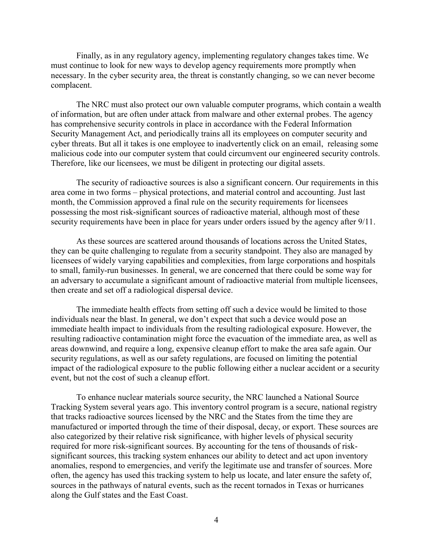Finally, as in any regulatory agency, implementing regulatory changes takes time. We must continue to look for new ways to develop agency requirements more promptly when necessary. In the cyber security area, the threat is constantly changing, so we can never become complacent.

The NRC must also protect our own valuable computer programs, which contain a wealth of information, but are often under attack from malware and other external probes. The agency has comprehensive security controls in place in accordance with the Federal Information Security Management Act, and periodically trains all its employees on computer security and cyber threats. But all it takes is one employee to inadvertently click on an email, releasing some malicious code into our computer system that could circumvent our engineered security controls. Therefore, like our licensees, we must be diligent in protecting our digital assets.

The security of radioactive sources is also a significant concern. Our requirements in this area come in two forms – physical protections, and material control and accounting. Just last month, the Commission approved a final rule on the security requirements for licensees possessing the most risk-significant sources of radioactive material, although most of these security requirements have been in place for years under orders issued by the agency after 9/11.

As these sources are scattered around thousands of locations across the United States, they can be quite challenging to regulate from a security standpoint. They also are managed by licensees of widely varying capabilities and complexities, from large corporations and hospitals to small, family-run businesses. In general, we are concerned that there could be some way for an adversary to accumulate a significant amount of radioactive material from multiple licensees, then create and set off a radiological dispersal device.

The immediate health effects from setting off such a device would be limited to those individuals near the blast. In general, we don't expect that such a device would pose an immediate health impact to individuals from the resulting radiological exposure. However, the resulting radioactive contamination might force the evacuation of the immediate area, as well as areas downwind, and require a long, expensive cleanup effort to make the area safe again. Our security regulations, as well as our safety regulations, are focused on limiting the potential impact of the radiological exposure to the public following either a nuclear accident or a security event, but not the cost of such a cleanup effort.

To enhance nuclear materials source security, the NRC launched a National Source Tracking System several years ago. This inventory control program is a secure, national registry that tracks radioactive sources licensed by the NRC and the States from the time they are manufactured or imported through the time of their disposal, decay, or export. These sources are also categorized by their relative risk significance, with higher levels of physical security required for more risk-significant sources. By accounting for the tens of thousands of risksignificant sources, this tracking system enhances our ability to detect and act upon inventory anomalies, respond to emergencies, and verify the legitimate use and transfer of sources. More often, the agency has used this tracking system to help us locate, and later ensure the safety of, sources in the pathways of natural events, such as the recent tornados in Texas or hurricanes along the Gulf states and the East Coast.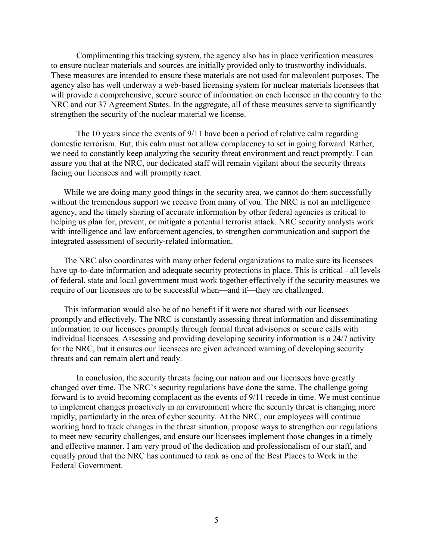Complimenting this tracking system, the agency also has in place verification measures to ensure nuclear materials and sources are initially provided only to trustworthy individuals. These measures are intended to ensure these materials are not used for malevolent purposes. The agency also has well underway a web-based licensing system for nuclear materials licensees that will provide a comprehensive, secure source of information on each licensee in the country to the NRC and our 37 Agreement States. In the aggregate, all of these measures serve to significantly strengthen the security of the nuclear material we license.

The 10 years since the events of 9/11 have been a period of relative calm regarding domestic terrorism. But, this calm must not allow complacency to set in going forward. Rather, we need to constantly keep analyzing the security threat environment and react promptly. I can assure you that at the NRC, our dedicated staff will remain vigilant about the security threats facing our licensees and will promptly react.

While we are doing many good things in the security area, we cannot do them successfully without the tremendous support we receive from many of you. The NRC is not an intelligence agency, and the timely sharing of accurate information by other federal agencies is critical to helping us plan for, prevent, or mitigate a potential terrorist attack. NRC security analysts work with intelligence and law enforcement agencies, to strengthen communication and support the integrated assessment of security-related information.

The NRC also coordinates with many other federal organizations to make sure its licensees have up-to-date information and adequate security protections in place. This is critical - all levels of federal, state and local government must work together effectively if the security measures we require of our licensees are to be successful when—and if—they are challenged.

This information would also be of no benefit if it were not shared with our licensees promptly and effectively. The NRC is constantly assessing threat information and disseminating information to our licensees promptly through formal threat advisories or secure calls with individual licensees. Assessing and providing developing security information is a 24/7 activity for the NRC, but it ensures our licensees are given advanced warning of developing security threats and can remain alert and ready.

In conclusion, the security threats facing our nation and our licensees have greatly changed over time. The NRC's security regulations have done the same. The challenge going forward is to avoid becoming complacent as the events of 9/11 recede in time. We must continue to implement changes proactively in an environment where the security threat is changing more rapidly, particularly in the area of cyber security. At the NRC, our employees will continue working hard to track changes in the threat situation, propose ways to strengthen our regulations to meet new security challenges, and ensure our licensees implement those changes in a timely and effective manner. I am very proud of the dedication and professionalism of our staff, and equally proud that the NRC has continued to rank as one of the Best Places to Work in the Federal Government.